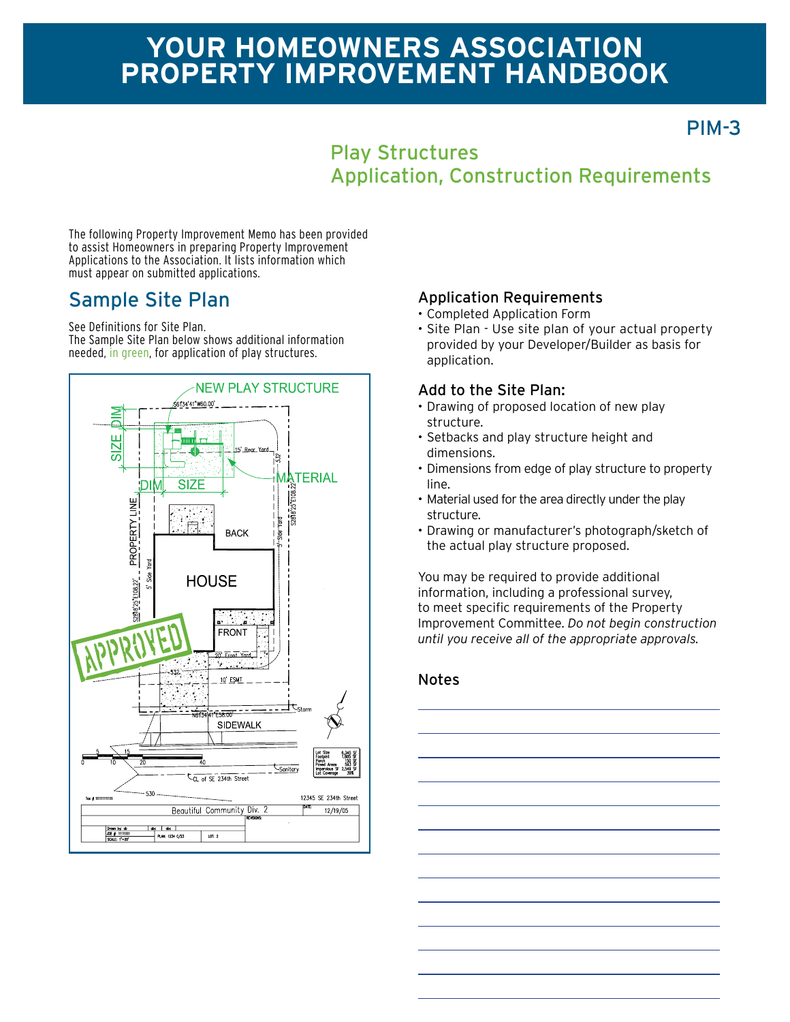# **Your homeowners association Property improvement Handbook**

## PIM-3

### Play Structures Application, Construction Requirements

The following Property Improvement Memo has been provided to assist Homeowners in preparing Property Improvement Applications to the Association. It lists information which must appear on submitted applications.

## Sample Site Plan

See Definitions for Site Plan.

The Sample Site Plan below shows additional information needed, in green, for application of play structures.



#### Application Requirements

- • Completed Application Form
- Site Plan Use site plan of your actual property provided by your Developer/Builder as basis for application.

#### Add to the Site Plan:

- Drawing of proposed location of new play structure.
- • Setbacks and play structure height and dimensions.
- • Dimensions from edge of play structure to property line.
- Material used for the area directly under the play structure.
- • Drawing or manufacturer's photograph/sketch of the actual play structure proposed.

You may be required to provide additional information, including a professional survey, to meet specific requirements of the Property Improvement Committee. *Do not begin construction until you receive all of the appropriate approvals.*

#### Notes

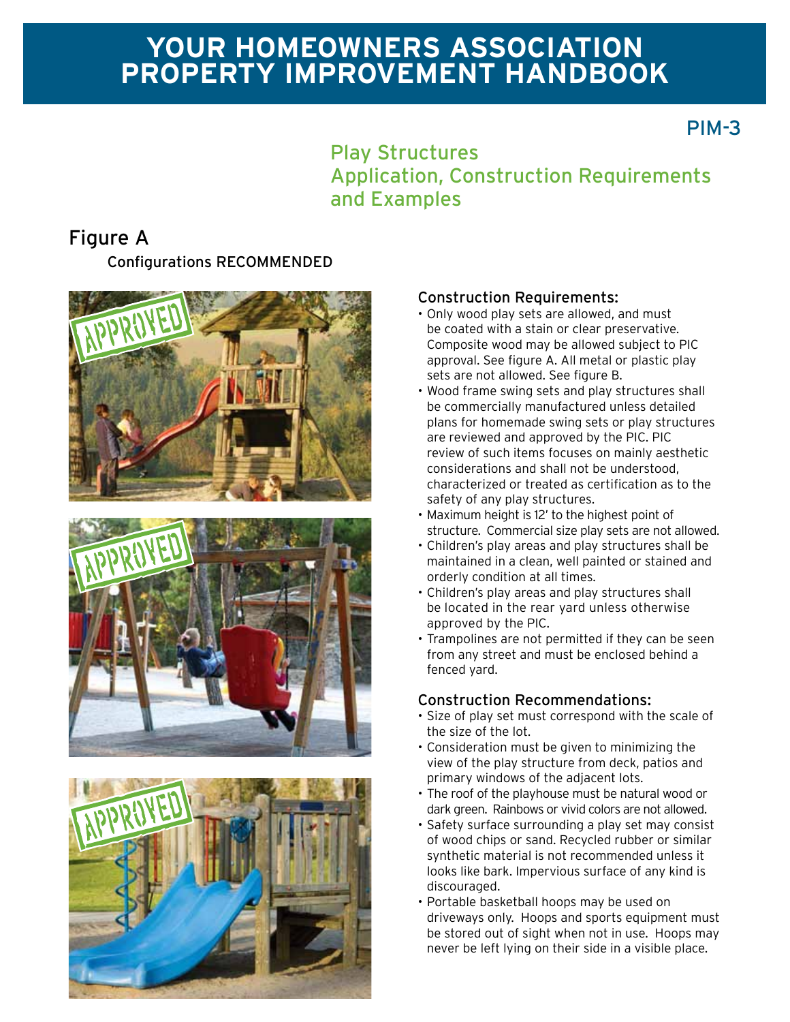# **Your homeowners association Property improvement Handbook**

### PIM-3

### Play Structures Application, Construction Requirements and Examples

### Configurations RECOMMENDED Figure A







#### Construction Requirements:

- Only wood play sets are allowed, and must be coated with a stain or clear preservative. Composite wood may be allowed subject to PIC approval. See figure A. All metal or plastic play sets are not allowed. See figure B.
- • Wood frame swing sets and play structures shall be commercially manufactured unless detailed plans for homemade swing sets or play structures are reviewed and approved by the PIC. PIC review of such items focuses on mainly aesthetic considerations and shall not be understood, characterized or treated as certification as to the safety of any play structures.
- • Maximum height is 12' to the highest point of structure. Commercial size play sets are not allowed.
- • Children's play areas and play structures shall be maintained in a clean, well painted or stained and orderly condition at all times.
- • Children's play areas and play structures shall be located in the rear yard unless otherwise approved by the PIC.
- Trampolines are not permitted if they can be seen from any street and must be enclosed behind a fenced yard.

#### Construction Recommendations:

- • Size of play set must correspond with the scale of the size of the lot.
- • Consideration must be given to minimizing the view of the play structure from deck, patios and primary windows of the adjacent lots.
- The roof of the playhouse must be natural wood or dark green. Rainbows or vivid colors are not allowed.
- Safety surface surrounding a play set may consist of wood chips or sand. Recycled rubber or similar synthetic material is not recommended unless it looks like bark. Impervious surface of any kind is discouraged.
- • Portable basketball hoops may be used on driveways only. Hoops and sports equipment must be stored out of sight when not in use. Hoops may never be left lying on their side in a visible place.